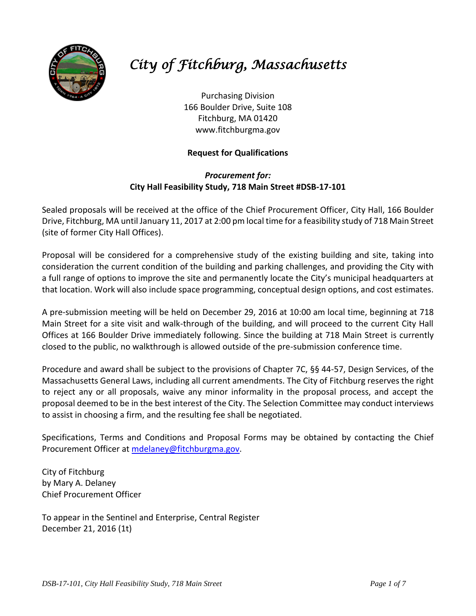

# *City of Fitchburg, Massachusetts*

Purchasing Division 166 Boulder Drive, Suite 108 Fitchburg, MA 01420 www.fitchburgma.gov

# **Request for Qualifications**

# *Procurement for:* **City Hall Feasibility Study, 718 Main Street #DSB-17-101**

Sealed proposals will be received at the office of the Chief Procurement Officer, City Hall, 166 Boulder Drive, Fitchburg, MA until January 11, 2017 at 2:00 pm local time for a feasibility study of 718 Main Street (site of former City Hall Offices).

Proposal will be considered for a comprehensive study of the existing building and site, taking into consideration the current condition of the building and parking challenges, and providing the City with a full range of options to improve the site and permanently locate the City's municipal headquarters at that location. Work will also include space programming, conceptual design options, and cost estimates.

A pre-submission meeting will be held on December 29, 2016 at 10:00 am local time, beginning at 718 Main Street for a site visit and walk-through of the building, and will proceed to the current City Hall Offices at 166 Boulder Drive immediately following. Since the building at 718 Main Street is currently closed to the public, no walkthrough is allowed outside of the pre-submission conference time.

Procedure and award shall be subject to the provisions of Chapter 7C, §§ 44-57, Design Services, of the Massachusetts General Laws, including all current amendments. The City of Fitchburg reserves the right to reject any or all proposals, waive any minor informality in the proposal process, and accept the proposal deemed to be in the best interest of the City. The Selection Committee may conduct interviews to assist in choosing a firm, and the resulting fee shall be negotiated.

Specifications, Terms and Conditions and Proposal Forms may be obtained by contacting the Chief Procurement Officer at [mdelaney@fitchburgma.gov.](mailto:mdelaney@fitchburgma.gov)

City of Fitchburg by Mary A. Delaney Chief Procurement Officer

To appear in the Sentinel and Enterprise, Central Register December 21, 2016 (1t)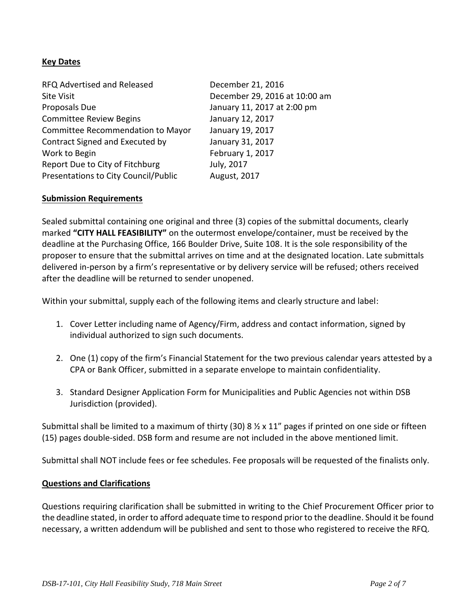## **Key Dates**

| RFQ Advertised and Released          | December 21, 2016             |
|--------------------------------------|-------------------------------|
| <b>Site Visit</b>                    | December 29, 2016 at 10:00 am |
| Proposals Due                        | January 11, 2017 at 2:00 pm   |
| <b>Committee Review Begins</b>       | January 12, 2017              |
| Committee Recommendation to Mayor    | January 19, 2017              |
| Contract Signed and Executed by      | January 31, 2017              |
| Work to Begin                        | February 1, 2017              |
| Report Due to City of Fitchburg      | July, 2017                    |
| Presentations to City Council/Public | August, 2017                  |

#### **Submission Requirements**

Sealed submittal containing one original and three (3) copies of the submittal documents, clearly marked **"CITY HALL FEASIBILITY"** on the outermost envelope/container, must be received by the deadline at the Purchasing Office, 166 Boulder Drive, Suite 108. It is the sole responsibility of the proposer to ensure that the submittal arrives on time and at the designated location. Late submittals delivered in-person by a firm's representative or by delivery service will be refused; others received after the deadline will be returned to sender unopened.

Within your submittal, supply each of the following items and clearly structure and label:

- 1. Cover Letter including name of Agency/Firm, address and contact information, signed by individual authorized to sign such documents.
- 2. One (1) copy of the firm's Financial Statement for the two previous calendar years attested by a CPA or Bank Officer, submitted in a separate envelope to maintain confidentiality.
- 3. Standard Designer Application Form for Municipalities and Public Agencies not within DSB Jurisdiction (provided).

Submittal shall be limited to a maximum of thirty (30) 8  $\frac{1}{2}$  x 11" pages if printed on one side or fifteen (15) pages double-sided. DSB form and resume are not included in the above mentioned limit.

Submittal shall NOT include fees or fee schedules. Fee proposals will be requested of the finalists only.

#### **Questions and Clarifications**

Questions requiring clarification shall be submitted in writing to the Chief Procurement Officer prior to the deadline stated, in order to afford adequate time to respond prior to the deadline. Should it be found necessary, a written addendum will be published and sent to those who registered to receive the RFQ.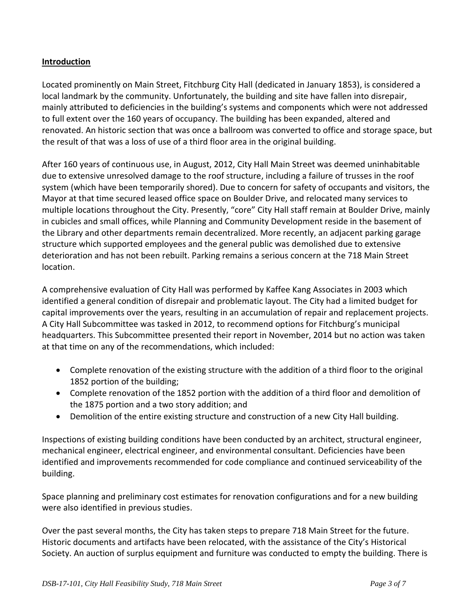## **Introduction**

Located prominently on Main Street, Fitchburg City Hall (dedicated in January 1853), is considered a local landmark by the community. Unfortunately, the building and site have fallen into disrepair, mainly attributed to deficiencies in the building's systems and components which were not addressed to full extent over the 160 years of occupancy. The building has been expanded, altered and renovated. An historic section that was once a ballroom was converted to office and storage space, but the result of that was a loss of use of a third floor area in the original building.

After 160 years of continuous use, in August, 2012, City Hall Main Street was deemed uninhabitable due to extensive unresolved damage to the roof structure, including a failure of trusses in the roof system (which have been temporarily shored). Due to concern for safety of occupants and visitors, the Mayor at that time secured leased office space on Boulder Drive, and relocated many services to multiple locations throughout the City. Presently, "core" City Hall staff remain at Boulder Drive, mainly in cubicles and small offices, while Planning and Community Development reside in the basement of the Library and other departments remain decentralized. More recently, an adjacent parking garage structure which supported employees and the general public was demolished due to extensive deterioration and has not been rebuilt. Parking remains a serious concern at the 718 Main Street location.

A comprehensive evaluation of City Hall was performed by Kaffee Kang Associates in 2003 which identified a general condition of disrepair and problematic layout. The City had a limited budget for capital improvements over the years, resulting in an accumulation of repair and replacement projects. A City Hall Subcommittee was tasked in 2012, to recommend options for Fitchburg's municipal headquarters. This Subcommittee presented their report in November, 2014 but no action was taken at that time on any of the recommendations, which included:

- Complete renovation of the existing structure with the addition of a third floor to the original 1852 portion of the building;
- Complete renovation of the 1852 portion with the addition of a third floor and demolition of the 1875 portion and a two story addition; and
- Demolition of the entire existing structure and construction of a new City Hall building.

Inspections of existing building conditions have been conducted by an architect, structural engineer, mechanical engineer, electrical engineer, and environmental consultant. Deficiencies have been identified and improvements recommended for code compliance and continued serviceability of the building.

Space planning and preliminary cost estimates for renovation configurations and for a new building were also identified in previous studies.

Over the past several months, the City has taken steps to prepare 718 Main Street for the future. Historic documents and artifacts have been relocated, with the assistance of the City's Historical Society. An auction of surplus equipment and furniture was conducted to empty the building. There is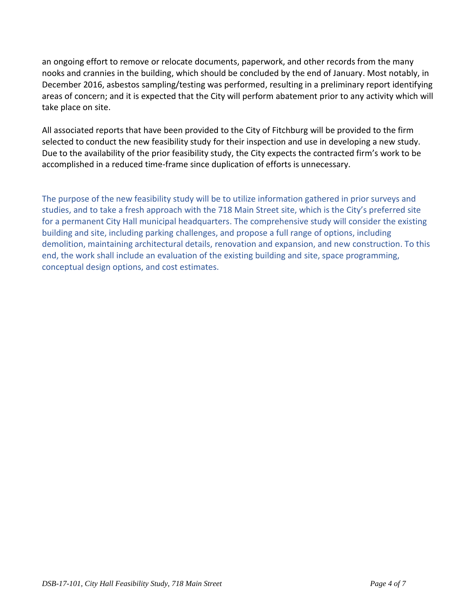an ongoing effort to remove or relocate documents, paperwork, and other records from the many nooks and crannies in the building, which should be concluded by the end of January. Most notably, in December 2016, asbestos sampling/testing was performed, resulting in a preliminary report identifying areas of concern; and it is expected that the City will perform abatement prior to any activity which will take place on site.

All associated reports that have been provided to the City of Fitchburg will be provided to the firm selected to conduct the new feasibility study for their inspection and use in developing a new study. Due to the availability of the prior feasibility study, the City expects the contracted firm's work to be accomplished in a reduced time-frame since duplication of efforts is unnecessary.

The purpose of the new feasibility study will be to utilize information gathered in prior surveys and studies, and to take a fresh approach with the 718 Main Street site, which is the City's preferred site for a permanent City Hall municipal headquarters. The comprehensive study will consider the existing building and site, including parking challenges, and propose a full range of options, including demolition, maintaining architectural details, renovation and expansion, and new construction. To this end, the work shall include an evaluation of the existing building and site, space programming, conceptual design options, and cost estimates.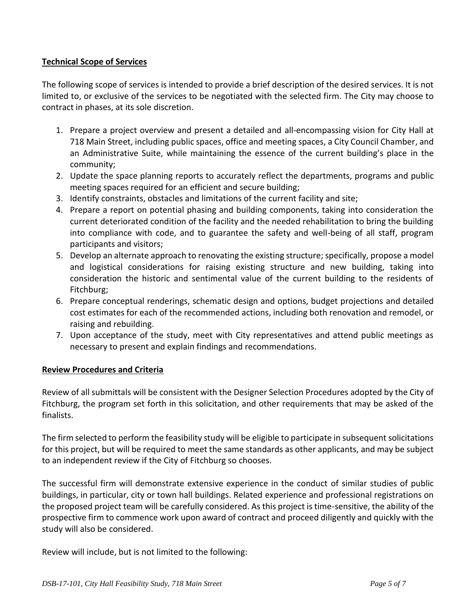## **Technical Scope of Services**

The following scope of services is intended to provide a brief description of the desired services. It is not limited to, or exclusive of the services to be negotiated with the selected firm. The City may choose to contract in phases, at its sole discretion.

- 1. Prepare a project overview and present a detailed and all-encompassing vision for City Hall at 718 Main Street, including public spaces, office and meeting spaces, a City Council Chamber, and an Administrative Suite, while maintaining the essence of the current building's place in the community;
- 2. Update the space planning reports to accurately reflect the departments, programs and public meeting spaces required for an efficient and secure building;
- 3. Identify constraints, obstacles and limitations of the current facility and site;
- 4. Prepare a report on potential phasing and building components, taking into consideration the current deteriorated condition of the facility and the needed rehabilitation to bring the building into compliance with code, and to guarantee the safety and well-being of all staff, program participants and visitors;
- 5. Develop an alternate approach to renovating the existing structure; specifically, propose a model and logistical considerations for raising existing structure and new building, taking into consideration the historic and sentimental value of the current building to the residents of Fitchburg;
- 6. Prepare conceptual renderings, schematic design and options, budget projections and detailed cost estimates for each of the recommended actions, including both renovation and remodel, or raising and rebuilding.
- 7. Upon acceptance of the study, meet with City representatives and attend public meetings as necessary to present and explain findings and recommendations.

#### **Review Procedures and Criteria**

Review of all submittals will be consistent with the Designer Selection Procedures adopted by the City of Fitchburg, the program set forth in this solicitation, and other requirements that may be asked of the finalists.

The firm selected to perform the feasibility study will be eligible to participate in subsequent solicitations for this project, but will be required to meet the same standards as other applicants, and may be subject to an independent review if the City of Fitchburg so chooses.

The successful firm will demonstrate extensive experience in the conduct of similar studies of public buildings, in particular, city or town hall buildings. Related experience and professional registrations on the proposed project team will be carefully considered. As this project is time-sensitive, the ability of the prospective firm to commence work upon award of contract and proceed diligently and quickly with the study will also be considered.

Review will include, but is not limited to the following: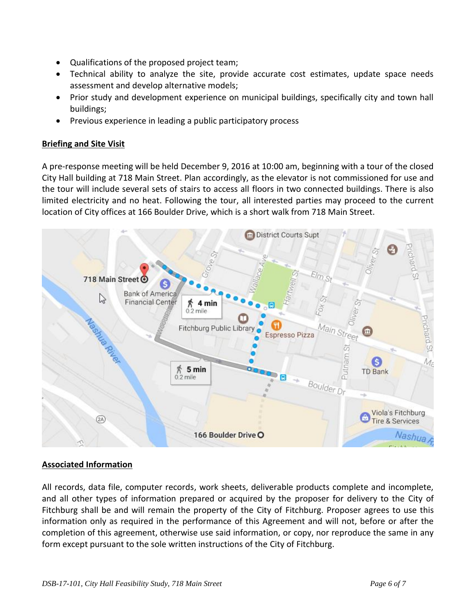- Qualifications of the proposed project team;
- Technical ability to analyze the site, provide accurate cost estimates, update space needs assessment and develop alternative models;
- Prior study and development experience on municipal buildings, specifically city and town hall buildings;
- Previous experience in leading a public participatory process

# **Briefing and Site Visit**

A pre-response meeting will be held December 9, 2016 at 10:00 am, beginning with a tour of the closed City Hall building at 718 Main Street. Plan accordingly, as the elevator is not commissioned for use and the tour will include several sets of stairs to access all floors in two connected buildings. There is also limited electricity and no heat. Following the tour, all interested parties may proceed to the current location of City offices at 166 Boulder Drive, which is a short walk from 718 Main Street.



# **Associated Information**

All records, data file, computer records, work sheets, deliverable products complete and incomplete, and all other types of information prepared or acquired by the proposer for delivery to the City of Fitchburg shall be and will remain the property of the City of Fitchburg. Proposer agrees to use this information only as required in the performance of this Agreement and will not, before or after the completion of this agreement, otherwise use said information, or copy, nor reproduce the same in any form except pursuant to the sole written instructions of the City of Fitchburg.